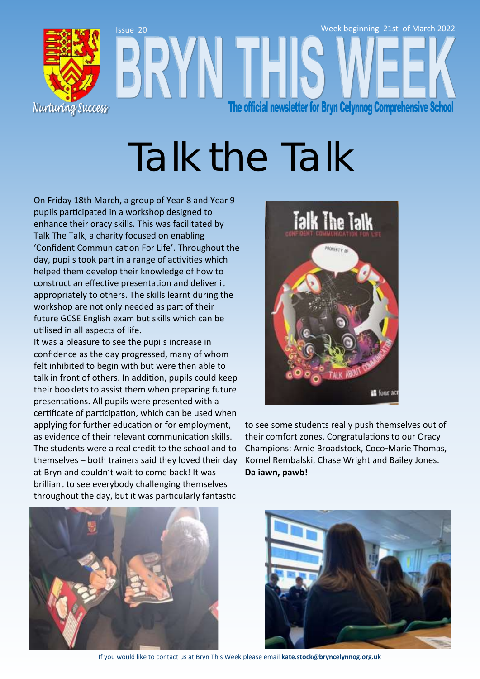

# Talk the Talk

On Friday 18th March, a group of Year 8 and Year 9 pupils participated in a workshop designed to enhance their oracy skills. This was facilitated by Talk The Talk, a charity focused on enabling 'Confident Communication For Life'. Throughout the day, pupils took part in a range of activities which helped them develop their knowledge of how to construct an effective presentation and deliver it appropriately to others. The skills learnt during the workshop are not only needed as part of their future GCSE English exam but skills which can be utilised in all aspects of life.

It was a pleasure to see the pupils increase in confidence as the day progressed, many of whom felt inhibited to begin with but were then able to talk in front of others. In addition, pupils could keep their booklets to assist them when preparing future presentations. All pupils were presented with a certificate of participation, which can be used when applying for further education or for employment, as evidence of their relevant communication skills. The students were a real credit to the school and to themselves – both trainers said they loved their day at Bryn and couldn't wait to come back! It was brilliant to see everybody challenging themselves throughout the day, but it was particularly fantastic



to see some students really push themselves out of their comfort zones. Congratulations to our Oracy Champions: Arnie Broadstock, Coco-Marie Thomas, Kornel Rembalski, Chase Wright and Bailey Jones. **Da iawn, pawb!**





If you would like to contact us at Bryn This Week please email **kate.stock@bryncelynnog.org.uk**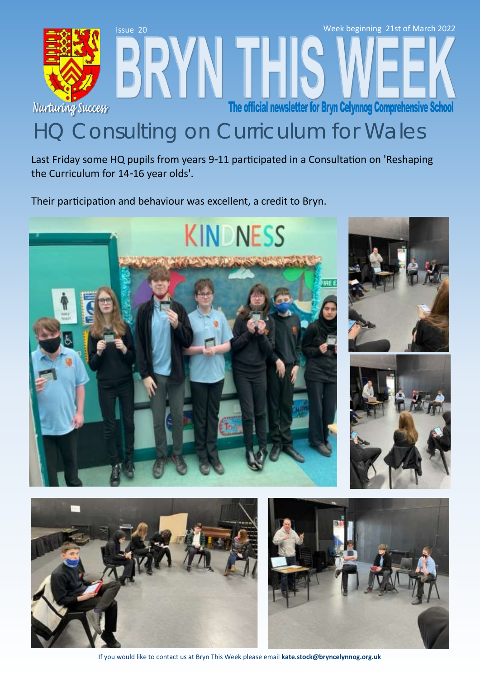

Last Friday some HQ pupils from years 9-11 participated in a Consultation on 'Reshaping the Curriculum for 14-16 year olds'.

Their participation and behaviour was excellent, a credit to Bryn.





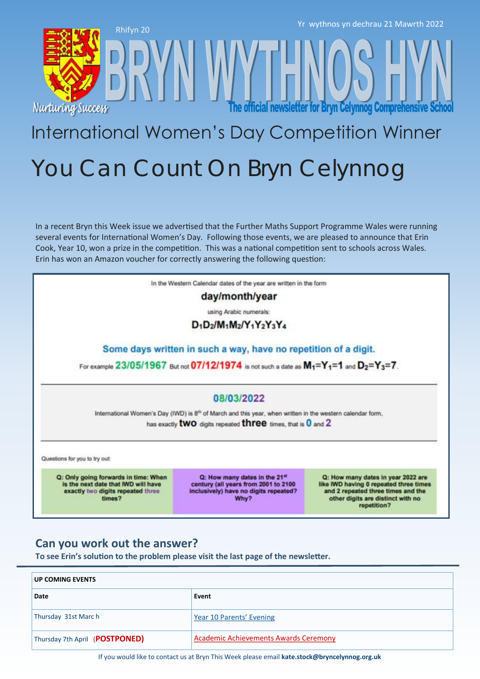





The official newsletter for Bryn Celynnog Comprehensive Schoo

## International Women's Day Competition Winner You Can Count On Bryn Celynnog

In a recent Bryn this Week issue we advertised that the Further Maths Support Programme Wales were running several events for International Women's Day. Following those events, we are pleased to announce that Erin Cook, Year 10, won a prize in the competition. This was a national competition sent to schools across Wales. Erin has won an Amazon voucher for correctly answering the following question:

In the Western Calendar dates of the year are written in the form

day/month/year

using Arabic numerals:

 $D_1D_2/M_1M_2/Y_1Y_2Y_3Y_4$ 

Some days written in such a way, have no repetition of a digit.

For example  $23/05/1967$  But not  $07/12/1974$  is not such a date as  $M_1 = Y_1 = 1$  and  $D_2 = Y_3 = 7$ .

#### 08/03/2022

International Women's Day (IWD) is 8<sup>th</sup> of March and this year, when written in the western calendar form, has exactly **two** digits repeated **three** times, that is 0 and 2

Questions for you to try out:

Q: Only going forwards in time: When is the next date that IWD will have exactly two digits repeated three times?

Q: How many dates in the 21st century (all years from 2001 to 2100 inclusively) have no digits repeated? Why?

Q: How many dates in year 2022 are like IWD having 0 repeated three times and 2 repeated three times and the other digits are distinct with no repetition?

#### **Can you work out the answer?**

**To see Erin's solution to the problem please visit the last page of the newsletter.**

| <b>UP COMING EVENTS</b>        |                                              |  |
|--------------------------------|----------------------------------------------|--|
| Date                           | Event                                        |  |
| Thursday 31st March            | Year 10 Parents' Evening                     |  |
| Thursday 7th April (POSTPONED) | <b>Academic Achievements Awards Ceremony</b> |  |

If you would like to contact us at Bryn This Week please email **kate.stock@bryncelynnog.org.uk**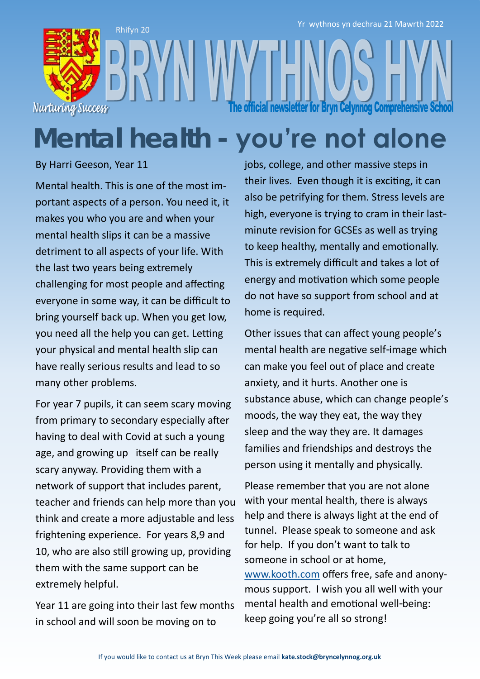

## **Mental health - you're not alone**

By Harri Geeson, Year 11

Mental health. This is one of the most important aspects of a person. You need it, it makes you who you are and when your mental health slips it can be a massive detriment to all aspects of your life. With the last two years being extremely challenging for most people and affecting everyone in some way, it can be difficult to bring yourself back up. When you get low, you need all the help you can get. Letting your physical and mental health slip can have really serious results and lead to so many other problems.

For year 7 pupils, it can seem scary moving from primary to secondary especially after having to deal with Covid at such a young age, and growing up itself can be really scary anyway. Providing them with a network of support that includes parent, teacher and friends can help more than you think and create a more adjustable and less frightening experience. For years 8,9 and 10, who are also still growing up, providing them with the same support can be extremely helpful.

Year 11 are going into their last few months in school and will soon be moving on to

jobs, college, and other massive steps in their lives. Even though it is exciting, it can also be petrifying for them. Stress levels are high, everyone is trying to cram in their lastminute revision for GCSEs as well as trying to keep healthy, mentally and emotionally. This is extremely difficult and takes a lot of energy and motivation which some people do not have so support from school and at home is required.

Other issues that can affect young people's mental health are negative self-image which can make you feel out of place and create anxiety, and it hurts. Another one is substance abuse, which can change people's moods, the way they eat, the way they sleep and the way they are. It damages families and friendships and destroys the person using it mentally and physically.

Please remember that you are not alone with your mental health, there is always help and there is always light at the end of tunnel. Please speak to someone and ask for help. If you don't want to talk to someone in school or at home, [www.kooth.com](http://www.kooth.com) offers free, safe and anonymous support. I wish you all well with your mental health and emotional well-being: keep going you're all so strong!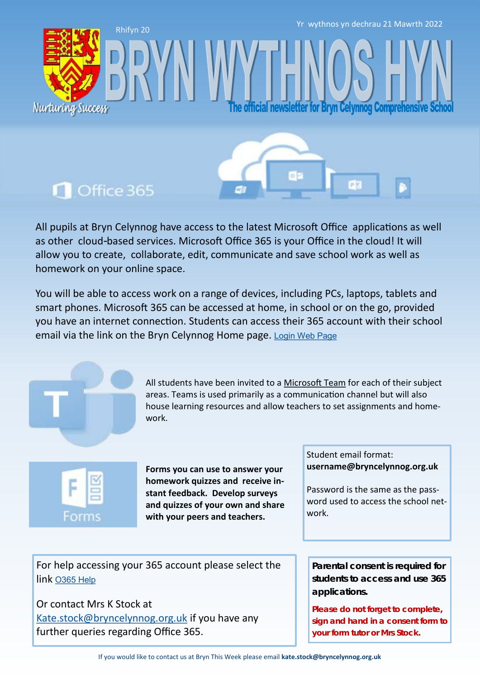Yr wythnos yn dechrau 21 Mawrth 2022

fficial newsletter for Bryn Celynnog Comprehensive

### Office 365

Nurturing Success

Rhifyn 20

All pupils at Bryn Celynnog have access to the latest Microsoft Office applications as well as other cloud-based services. Microsoft Office 365 is your Office in the cloud! It will allow you to create, collaborate, edit, communicate and save school work as well as homework on your online space.

You will be able to access work on a range of devices, including PCs, laptops, tablets and smart phones. Microsoft 365 can be accessed at home, in school or on the go, provided you have an internet connection. Students can access their 365 account with their school email via the link on the Bryn Celynnog Home page. [Login Web Page](https://www.office.com/)



All students have been invited to a [Microsoft Team](https://teams.microsoft.com/edustart) for each of their subject areas. Teams is used primarily as a communication channel but will also house learning resources and allow teachers to set assignments and homework.



**Forms you can use to answer your homework quizzes and receive instant feedback. Develop surveys and quizzes of your own and share with your peers and teachers.** 

Student email format: **username@bryncelynnog.org.uk** 

Password is the same as the password used to access the school network.

For help accessing your 365 account please select the link [O365 Help](https://bryncelynnog.org.uk/wp-content/uploads/2021/09/Accessing-your-Office-365-Account.pdf)

Or contact Mrs K Stock at [Kate.stock@bryncelynnog.org.uk](mailto:kate.stock@bryncelynnog.orguk) if you have any further queries regarding Office 365.

**Parental consent is required for students to access and use 365 applications.**

**Please do not forget to complete, sign and hand in a consent form to your form tutor or Mrs Stock.**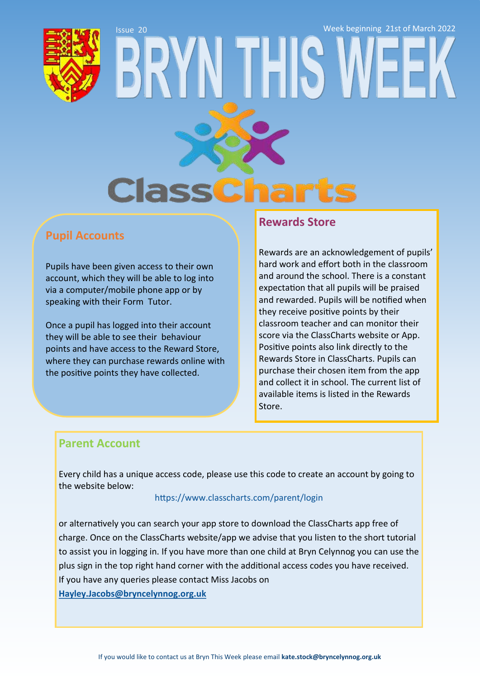# Issue 20 Week beginning 21st of March 2022**Class**

#### **Pupil Accounts**

Pupils have been given access to their own account, which they will be able to log into via a computer/mobile phone app or by speaking with their Form Tutor.

Once a pupil has logged into their account they will be able to see their behaviour points and have access to the Reward Store, where they can purchase rewards online with the positive points they have collected.

#### **Rewards Store**

Rewards are an acknowledgement of pupils' hard work and effort both in the classroom and around the school. There is a constant expectation that all pupils will be praised and rewarded. Pupils will be notified when they receive positive points by their classroom teacher and can monitor their score via the ClassCharts website or App. Positive points also link directly to the Rewards Store in ClassCharts. Pupils can purchase their chosen item from the app and collect it in school. The current list of available items is listed in the Rewards Store.

#### **Parent Account**

Every child has a unique access code, please use this code to create an account by going to the website below:

#### <https://www.classcharts.com/parent/login>

or alternatively you can search your app store to download the ClassCharts app free of charge. Once on the ClassCharts website/app we advise that you listen to the short tutorial to assist you in logging in. If you have more than one child at Bryn Celynnog you can use the plus sign in the top right hand corner with the additional access codes you have received. If you have any queries please contact Miss Jacobs on **[Hayley.Jacobs@bryncelynnog.org.uk](mailto:hayley.jacobs@bryncelynnog.org.uk)**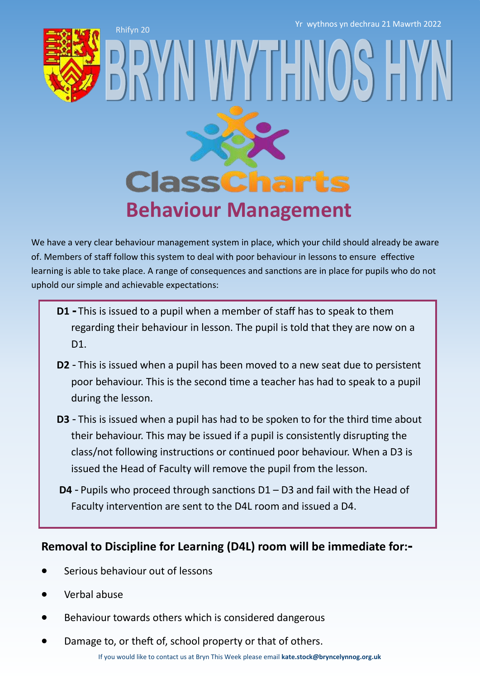Rhifyn 20 Yr wythnos yn dechrau 21 Mawrth 2022



## **ClassCharts Behaviour Management**

WY IFN

We have a very clear behaviour management system in place, which your child should already be aware of. Members of staff follow this system to deal with poor behaviour in lessons to ensure effective learning is able to take place. A range of consequences and sanctions are in place for pupils who do not uphold our simple and achievable expectations:

- **D1 -** This is issued to a pupil when a member of staff has to speak to them regarding their behaviour in lesson. The pupil is told that they are now on a D<sub>1</sub>.
- **D2** This is issued when a pupil has been moved to a new seat due to persistent poor behaviour. This is the second time a teacher has had to speak to a pupil during the lesson.
- **D3**  This is issued when a pupil has had to be spoken to for the third time about their behaviour. This may be issued if a pupil is consistently disrupting the class/not following instructions or continued poor behaviour. When a D3 is issued the Head of Faculty will remove the pupil from the lesson.
- **D4** Pupils who proceed through sanctions D1 D3 and fail with the Head of Faculty intervention are sent to the D4L room and issued a D4.

#### **Removal to Discipline for Learning (D4L) room will be immediate for:-**

- Serious behaviour out of lessons
- Verbal abuse
- Behaviour towards others which is considered dangerous
- Damage to, or theft of, school property or that of others.